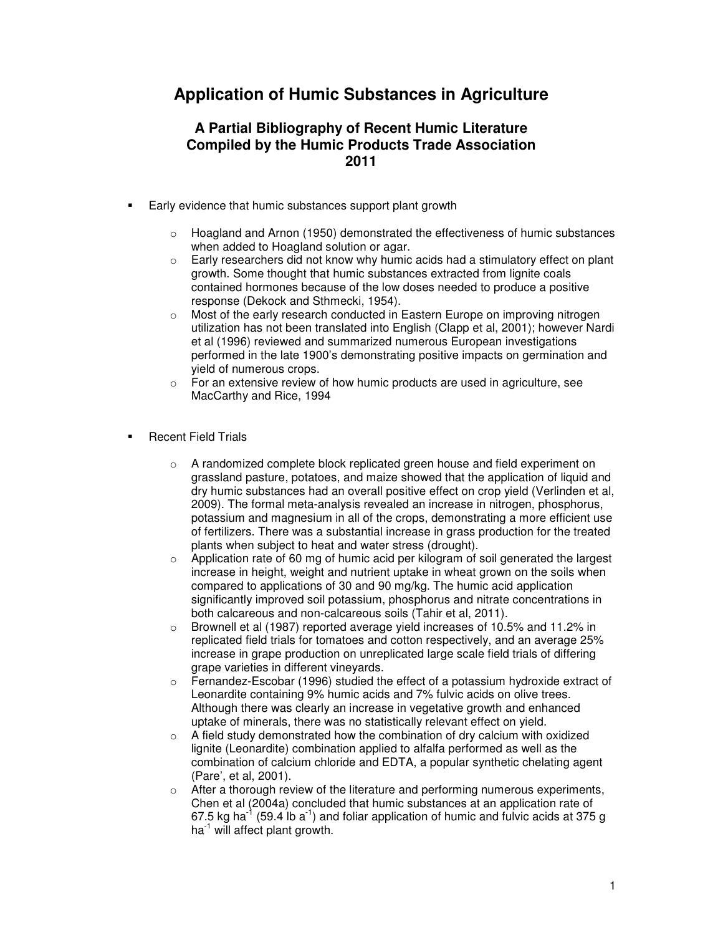## **Application of Humic Substances in Agriculture**

## **A Partial Bibliography of Recent Humic Literature Compiled by the Humic Products Trade Association 2011**

- Early evidence that humic substances support plant growth
	- $\circ$  Hoagland and Arnon (1950) demonstrated the effectiveness of humic substances when added to Hoagland solution or agar.
	- o Early researchers did not know why humic acids had a stimulatory effect on plant growth. Some thought that humic substances extracted from lignite coals contained hormones because of the low doses needed to produce a positive response (Dekock and Sthmecki, 1954).
	- $\circ$  Most of the early research conducted in Eastern Europe on improving nitrogen utilization has not been translated into English (Clapp et al, 2001); however Nardi et al (1996) reviewed and summarized numerous European investigations performed in the late 1900's demonstrating positive impacts on germination and yield of numerous crops.
	- $\circ$  For an extensive review of how humic products are used in agriculture, see MacCarthy and Rice, 1994
- Recent Field Trials
	- $\circ$  A randomized complete block replicated green house and field experiment on grassland pasture, potatoes, and maize showed that the application of liquid and dry humic substances had an overall positive effect on crop yield (Verlinden et al, 2009). The formal meta-analysis revealed an increase in nitrogen, phosphorus, potassium and magnesium in all of the crops, demonstrating a more efficient use of fertilizers. There was a substantial increase in grass production for the treated plants when subject to heat and water stress (drought).
	- $\circ$  Application rate of 60 mg of humic acid per kilogram of soil generated the largest increase in height, weight and nutrient uptake in wheat grown on the soils when compared to applications of 30 and 90 mg/kg. The humic acid application significantly improved soil potassium, phosphorus and nitrate concentrations in both calcareous and non-calcareous soils (Tahir et al, 2011).
	- o Brownell et al (1987) reported average yield increases of 10.5% and 11.2% in replicated field trials for tomatoes and cotton respectively, and an average 25% increase in grape production on unreplicated large scale field trials of differing grape varieties in different vineyards.
	- o Fernandez-Escobar (1996) studied the effect of a potassium hydroxide extract of Leonardite containing 9% humic acids and 7% fulvic acids on olive trees. Although there was clearly an increase in vegetative growth and enhanced uptake of minerals, there was no statistically relevant effect on yield.
	- o A field study demonstrated how the combination of dry calcium with oxidized lignite (Leonardite) combination applied to alfalfa performed as well as the combination of calcium chloride and EDTA, a popular synthetic chelating agent (Pare', et al, 2001).
	- o After a thorough review of the literature and performing numerous experiments, Chen et al (2004a) concluded that humic substances at an application rate of 67.5 kg ha<sup>-1</sup> (59.4 lb a<sup>-1</sup>) and foliar application of humic and fulvic acids at 375 g  $ha^{-1}$  will affect plant growth.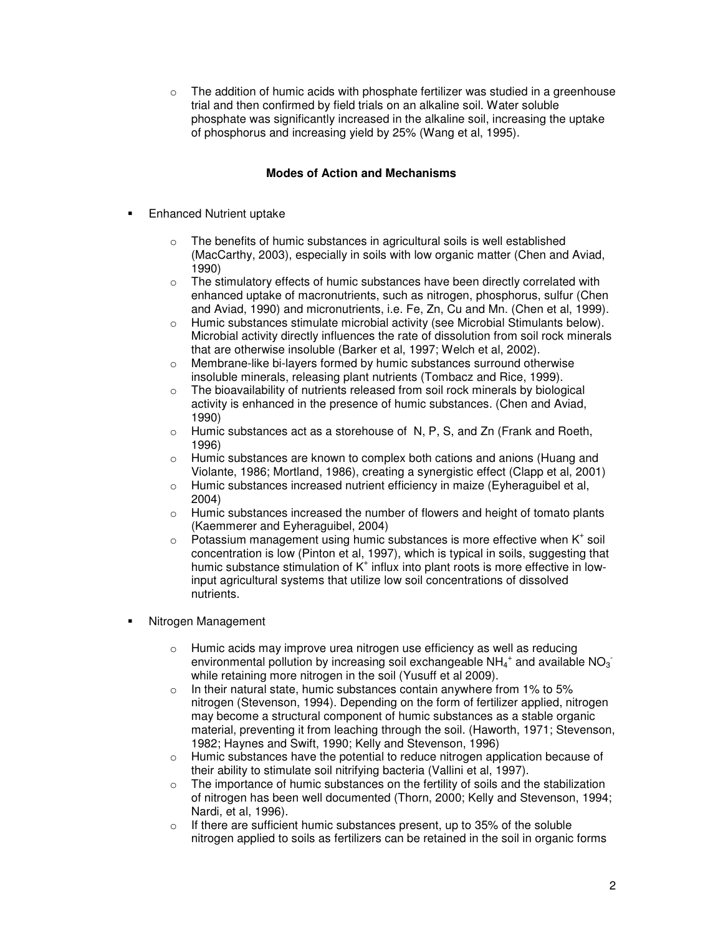$\circ$  The addition of humic acids with phosphate fertilizer was studied in a greenhouse trial and then confirmed by field trials on an alkaline soil. Water soluble phosphate was significantly increased in the alkaline soil, increasing the uptake of phosphorus and increasing yield by 25% (Wang et al, 1995).

## **Modes of Action and Mechanisms**

- Enhanced Nutrient uptake
	- o The benefits of humic substances in agricultural soils is well established (MacCarthy, 2003), especially in soils with low organic matter (Chen and Aviad, 1990)
	- $\circ$  The stimulatory effects of humic substances have been directly correlated with enhanced uptake of macronutrients, such as nitrogen, phosphorus, sulfur (Chen and Aviad, 1990) and micronutrients, i.e. Fe, Zn, Cu and Mn. (Chen et al, 1999).
	- $\circ$  Humic substances stimulate microbial activity (see Microbial Stimulants below). Microbial activity directly influences the rate of dissolution from soil rock minerals that are otherwise insoluble (Barker et al, 1997; Welch et al, 2002).
	- o Membrane-like bi-layers formed by humic substances surround otherwise insoluble minerals, releasing plant nutrients (Tombacz and Rice, 1999).
	- o The bioavailability of nutrients released from soil rock minerals by biological activity is enhanced in the presence of humic substances. (Chen and Aviad, 1990)
	- o Humic substances act as a storehouse of N, P, S, and Zn (Frank and Roeth, 1996)
	- o Humic substances are known to complex both cations and anions (Huang and Violante, 1986; Mortland, 1986), creating a synergistic effect (Clapp et al, 2001)
	- $\circ$  Humic substances increased nutrient efficiency in maize (Eyheraguibel et al, 2004)
	- o Humic substances increased the number of flowers and height of tomato plants (Kaemmerer and Eyheraguibel, 2004)
	- $\circ$  Potassium management using humic substances is more effective when K<sup>+</sup> soil concentration is low (Pinton et al, 1997), which is typical in soils, suggesting that humic substance stimulation of K<sup>+</sup> influx into plant roots is more effective in lowinput agricultural systems that utilize low soil concentrations of dissolved nutrients.
- Nitrogen Management
	- o Humic acids may improve urea nitrogen use efficiency as well as reducing environmental pollution by increasing soil exchangeable NH<sub>4</sub><sup>+</sup> and available NO<sub>3</sub> while retaining more nitrogen in the soil (Yusuff et al 2009).
	- $\circ$  In their natural state, humic substances contain anywhere from 1% to 5% nitrogen (Stevenson, 1994). Depending on the form of fertilizer applied, nitrogen may become a structural component of humic substances as a stable organic material, preventing it from leaching through the soil. (Haworth, 1971; Stevenson, 1982; Haynes and Swift, 1990; Kelly and Stevenson, 1996)
	- $\circ$  Humic substances have the potential to reduce nitrogen application because of their ability to stimulate soil nitrifying bacteria (Vallini et al, 1997).
	- $\circ$  The importance of humic substances on the fertility of soils and the stabilization of nitrogen has been well documented (Thorn, 2000; Kelly and Stevenson, 1994; Nardi, et al, 1996).
	- $\circ$  If there are sufficient humic substances present, up to 35% of the soluble nitrogen applied to soils as fertilizers can be retained in the soil in organic forms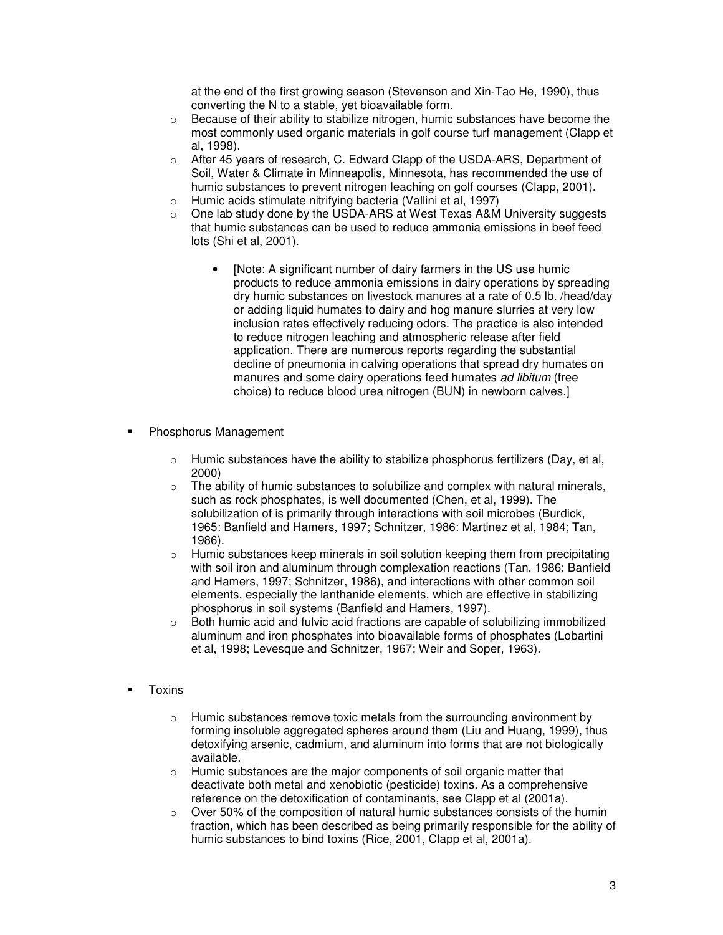at the end of the first growing season (Stevenson and Xin-Tao He, 1990), thus converting the N to a stable, yet bioavailable form.

- $\circ$  Because of their ability to stabilize nitrogen, humic substances have become the most commonly used organic materials in golf course turf management (Clapp et al, 1998).
- o After 45 years of research, C. Edward Clapp of the USDA-ARS, Department of Soil, Water & Climate in Minneapolis, Minnesota, has recommended the use of humic substances to prevent nitrogen leaching on golf courses (Clapp, 2001).
- o Humic acids stimulate nitrifying bacteria (Vallini et al, 1997)
- o One lab study done by the USDA-ARS at West Texas A&M University suggests that humic substances can be used to reduce ammonia emissions in beef feed lots (Shi et al, 2001).
	- [Note: A significant number of dairy farmers in the US use humic products to reduce ammonia emissions in dairy operations by spreading dry humic substances on livestock manures at a rate of 0.5 lb. /head/day or adding liquid humates to dairy and hog manure slurries at very low inclusion rates effectively reducing odors. The practice is also intended to reduce nitrogen leaching and atmospheric release after field application. There are numerous reports regarding the substantial decline of pneumonia in calving operations that spread dry humates on manures and some dairy operations feed humates ad libitum (free choice) to reduce blood urea nitrogen (BUN) in newborn calves.]
- Phosphorus Management
	- $\circ$  Humic substances have the ability to stabilize phosphorus fertilizers (Day, et al, 2000)
	- $\circ$  The ability of humic substances to solubilize and complex with natural minerals, such as rock phosphates, is well documented (Chen, et al, 1999). The solubilization of is primarily through interactions with soil microbes (Burdick, 1965: Banfield and Hamers, 1997; Schnitzer, 1986: Martinez et al, 1984; Tan, 1986).
	- $\circ$  Humic substances keep minerals in soil solution keeping them from precipitating with soil iron and aluminum through complexation reactions (Tan, 1986; Banfield and Hamers, 1997; Schnitzer, 1986), and interactions with other common soil elements, especially the lanthanide elements, which are effective in stabilizing phosphorus in soil systems (Banfield and Hamers, 1997).
	- $\circ$  Both humic acid and fulvic acid fractions are capable of solubilizing immobilized aluminum and iron phosphates into bioavailable forms of phosphates (Lobartini et al, 1998; Levesque and Schnitzer, 1967; Weir and Soper, 1963).
- **Toxins** 
	- $\circ$  Humic substances remove toxic metals from the surrounding environment by forming insoluble aggregated spheres around them (Liu and Huang, 1999), thus detoxifying arsenic, cadmium, and aluminum into forms that are not biologically available.
	- o Humic substances are the major components of soil organic matter that deactivate both metal and xenobiotic (pesticide) toxins. As a comprehensive reference on the detoxification of contaminants, see Clapp et al (2001a).
	- o Over 50% of the composition of natural humic substances consists of the humin fraction, which has been described as being primarily responsible for the ability of humic substances to bind toxins (Rice, 2001, Clapp et al, 2001a).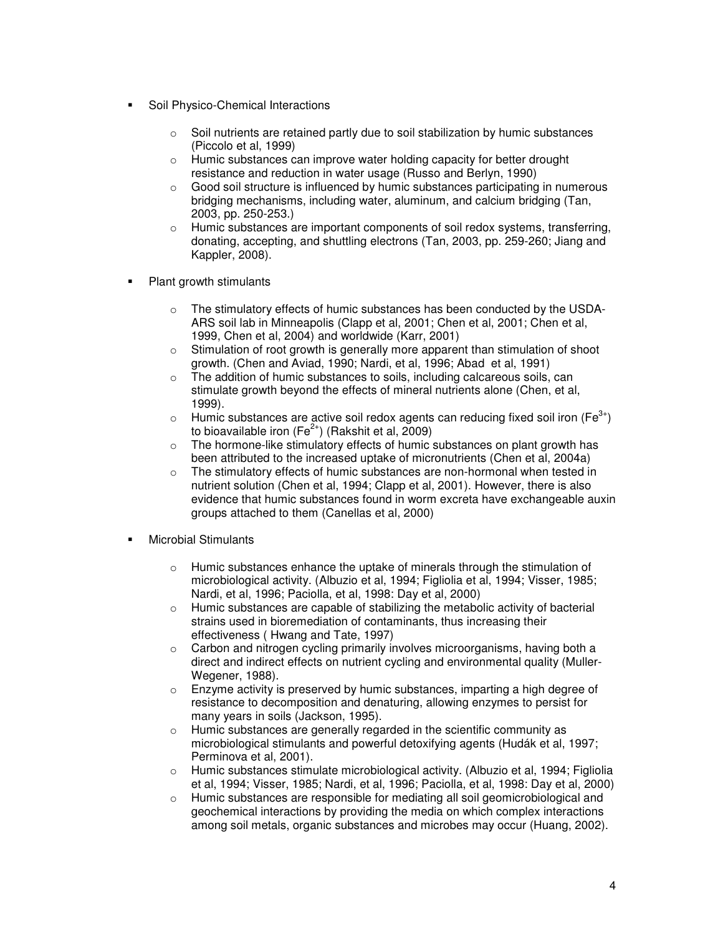- Soil Physico-Chemical Interactions
	- $\circ$  Soil nutrients are retained partly due to soil stabilization by humic substances (Piccolo et al, 1999)
	- o Humic substances can improve water holding capacity for better drought resistance and reduction in water usage (Russo and Berlyn, 1990)
	- $\circ$  Good soil structure is influenced by humic substances participating in numerous bridging mechanisms, including water, aluminum, and calcium bridging (Tan, 2003, pp. 250-253.)
	- $\circ$  Humic substances are important components of soil redox systems, transferring, donating, accepting, and shuttling electrons (Tan, 2003, pp. 259-260; Jiang and Kappler, 2008).
- Plant growth stimulants
	- $\circ$  The stimulatory effects of humic substances has been conducted by the USDA-ARS soil lab in Minneapolis (Clapp et al, 2001; Chen et al, 2001; Chen et al, 1999, Chen et al, 2004) and worldwide (Karr, 2001)
	- $\circ$  Stimulation of root growth is generally more apparent than stimulation of shoot growth. (Chen and Aviad, 1990; Nardi, et al, 1996; Abad et al, 1991)
	- o The addition of humic substances to soils, including calcareous soils, can stimulate growth beyond the effects of mineral nutrients alone (Chen, et al, 1999).
	- $\circ$  Humic substances are active soil redox agents can reducing fixed soil iron (Fe<sup>3+</sup>) to bioavailable iron (Fe $^{2+}$ ) (Rakshit et al, 2009)
	- o The hormone-like stimulatory effects of humic substances on plant growth has been attributed to the increased uptake of micronutrients (Chen et al, 2004a)
	- $\circ$  The stimulatory effects of humic substances are non-hormonal when tested in nutrient solution (Chen et al, 1994; Clapp et al, 2001). However, there is also evidence that humic substances found in worm excreta have exchangeable auxin groups attached to them (Canellas et al, 2000)
- Microbial Stimulants
	- $\circ$  Humic substances enhance the uptake of minerals through the stimulation of microbiological activity. (Albuzio et al, 1994; Figliolia et al, 1994; Visser, 1985; Nardi, et al, 1996; Paciolla, et al, 1998: Day et al, 2000)
	- $\circ$  Humic substances are capable of stabilizing the metabolic activity of bacterial strains used in bioremediation of contaminants, thus increasing their effectiveness ( Hwang and Tate, 1997)
	- o Carbon and nitrogen cycling primarily involves microorganisms, having both a direct and indirect effects on nutrient cycling and environmental quality (Muller-Wegener, 1988).
	- $\circ$  Enzyme activity is preserved by humic substances, imparting a high degree of resistance to decomposition and denaturing, allowing enzymes to persist for many years in soils (Jackson, 1995).
	- o Humic substances are generally regarded in the scientific community as microbiological stimulants and powerful detoxifying agents (Hudák et al, 1997; Perminova et al, 2001).
	- $\circ$  Humic substances stimulate microbiological activity. (Albuzio et al, 1994; Figliolia et al, 1994; Visser, 1985; Nardi, et al, 1996; Paciolla, et al, 1998: Day et al, 2000)
	- $\circ$  Humic substances are responsible for mediating all soil geomicrobiological and geochemical interactions by providing the media on which complex interactions among soil metals, organic substances and microbes may occur (Huang, 2002).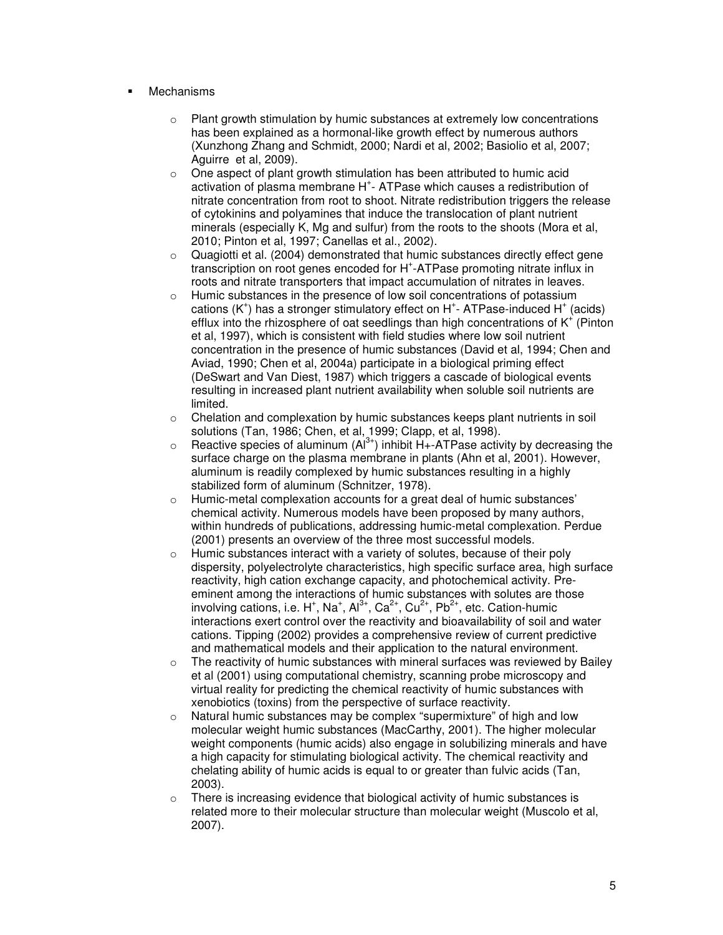- Mechanisms
	- $\circ$  Plant growth stimulation by humic substances at extremely low concentrations has been explained as a hormonal-like growth effect by numerous authors (Xunzhong Zhang and Schmidt, 2000; Nardi et al, 2002; Basiolio et al, 2007; Aguirre et al, 2009).
	- o One aspect of plant growth stimulation has been attributed to humic acid activation of plasma membrane H<sup>+</sup>- ATPase which causes a redistribution of nitrate concentration from root to shoot. Nitrate redistribution triggers the release of cytokinins and polyamines that induce the translocation of plant nutrient minerals (especially K, Mg and sulfur) from the roots to the shoots (Mora et al, 2010; Pinton et al, 1997; Canellas et al., 2002).
	- $\circ$  Quagiotti et al. (2004) demonstrated that humic substances directly effect gene transcription on root genes encoded for H<sup>+</sup>-ATPase promoting nitrate influx in roots and nitrate transporters that impact accumulation of nitrates in leaves.
	- o Humic substances in the presence of low soil concentrations of potassium cations  $(K^+)$  has a stronger stimulatory effect on  $H^+$ - ATPase-induced  $H^+$  (acids) efflux into the rhizosphere of oat seedlings than high concentrations of  $K^+$  (Pinton et al, 1997), which is consistent with field studies where low soil nutrient concentration in the presence of humic substances (David et al, 1994; Chen and Aviad, 1990; Chen et al, 2004a) participate in a biological priming effect (DeSwart and Van Diest, 1987) which triggers a cascade of biological events resulting in increased plant nutrient availability when soluble soil nutrients are limited.
	- $\circ$  Chelation and complexation by humic substances keeps plant nutrients in soil solutions (Tan, 1986; Chen, et al, 1999; Clapp, et al, 1998).
	- $\circ$  Reactive species of aluminum (Al<sup>3+</sup>) inhibit H+-ATPase activity by decreasing the surface charge on the plasma membrane in plants (Ahn et al, 2001). However, aluminum is readily complexed by humic substances resulting in a highly stabilized form of aluminum (Schnitzer, 1978).
	- o Humic-metal complexation accounts for a great deal of humic substances' chemical activity. Numerous models have been proposed by many authors, within hundreds of publications, addressing humic-metal complexation. Perdue (2001) presents an overview of the three most successful models.
	- $\circ$  Humic substances interact with a variety of solutes, because of their poly dispersity, polyelectrolyte characteristics, high specific surface area, high surface reactivity, high cation exchange capacity, and photochemical activity. Preeminent among the interactions of humic substances with solutes are those involving cations, i.e. H<sup>+</sup>, Na<sup>+</sup>, Al<sup>3+</sup>, Ca<sup>2+</sup>, Cu<sup>2+</sup>, Pb<sup>2+</sup>, etc. Cation-humic interactions exert control over the reactivity and bioavailability of soil and water cations. Tipping (2002) provides a comprehensive review of current predictive and mathematical models and their application to the natural environment.
	- $\circ$  The reactivity of humic substances with mineral surfaces was reviewed by Bailey et al (2001) using computational chemistry, scanning probe microscopy and virtual reality for predicting the chemical reactivity of humic substances with xenobiotics (toxins) from the perspective of surface reactivity.
	- $\circ$  Natural humic substances may be complex "supermixture" of high and low molecular weight humic substances (MacCarthy, 2001). The higher molecular weight components (humic acids) also engage in solubilizing minerals and have a high capacity for stimulating biological activity. The chemical reactivity and chelating ability of humic acids is equal to or greater than fulvic acids (Tan, 2003).
	- o There is increasing evidence that biological activity of humic substances is related more to their molecular structure than molecular weight (Muscolo et al, 2007).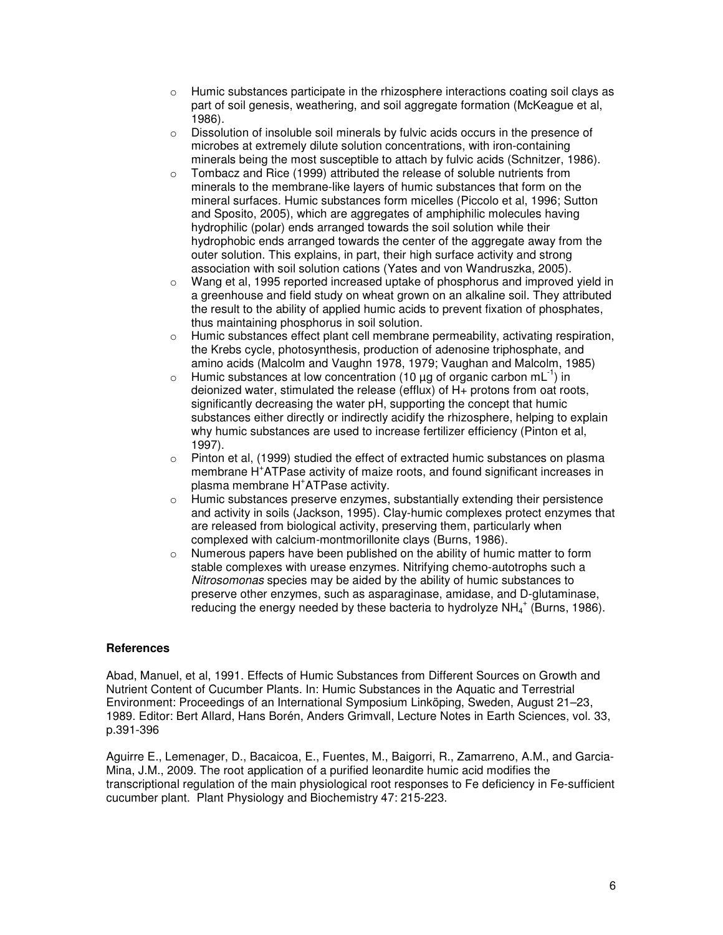- $\circ$  Humic substances participate in the rhizosphere interactions coating soil clays as part of soil genesis, weathering, and soil aggregate formation (McKeague et al, 1986).
- $\circ$  Dissolution of insoluble soil minerals by fulvic acids occurs in the presence of microbes at extremely dilute solution concentrations, with iron-containing minerals being the most susceptible to attach by fulvic acids (Schnitzer, 1986).
- o Tombacz and Rice (1999) attributed the release of soluble nutrients from minerals to the membrane-like layers of humic substances that form on the mineral surfaces. Humic substances form micelles (Piccolo et al, 1996; Sutton and Sposito, 2005), which are aggregates of amphiphilic molecules having hydrophilic (polar) ends arranged towards the soil solution while their hydrophobic ends arranged towards the center of the aggregate away from the outer solution. This explains, in part, their high surface activity and strong association with soil solution cations (Yates and von Wandruszka, 2005).
- $\circ$  Wang et al, 1995 reported increased uptake of phosphorus and improved yield in a greenhouse and field study on wheat grown on an alkaline soil. They attributed the result to the ability of applied humic acids to prevent fixation of phosphates, thus maintaining phosphorus in soil solution.
- $\circ$  Humic substances effect plant cell membrane permeability, activating respiration, the Krebs cycle, photosynthesis, production of adenosine triphosphate, and amino acids (Malcolm and Vaughn 1978, 1979; Vaughan and Malcolm, 1985)
- $\circ$  Humic substances at low concentration (10 µg of organic carbon mL<sup>-1</sup>) in deionized water, stimulated the release (efflux) of H+ protons from oat roots, significantly decreasing the water pH, supporting the concept that humic substances either directly or indirectly acidify the rhizosphere, helping to explain why humic substances are used to increase fertilizer efficiency (Pinton et al, 1997).
- $\circ$  Pinton et al, (1999) studied the effect of extracted humic substances on plasma membrane H<sup>+</sup>ATPase activity of maize roots, and found significant increases in plasma membrane H<sup>+</sup> ATPase activity.
- $\circ$  Humic substances preserve enzymes, substantially extending their persistence and activity in soils (Jackson, 1995). Clay-humic complexes protect enzymes that are released from biological activity, preserving them, particularly when complexed with calcium-montmorillonite clays (Burns, 1986).
- o Numerous papers have been published on the ability of humic matter to form stable complexes with urease enzymes. Nitrifying chemo-autotrophs such a Nitrosomonas species may be aided by the ability of humic substances to preserve other enzymes, such as asparaginase, amidase, and D-glutaminase, reducing the energy needed by these bacteria to hydrolyze NH $_4^+$  (Burns, 1986).

## **References**

Abad, Manuel, et al, 1991. Effects of Humic Substances from Different Sources on Growth and Nutrient Content of Cucumber Plants. In: Humic Substances in the Aquatic and Terrestrial Environment: Proceedings of an International Symposium Linköping, Sweden, August 21–23, 1989. Editor: Bert Allard, Hans Borén, Anders Grimvall, Lecture Notes in Earth Sciences, vol. 33, p.391-396

Aguirre E., Lemenager, D., Bacaicoa, E., Fuentes, M., Baigorri, R., Zamarreno, A.M., and Garcia-Mina, J.M., 2009. The root application of a purified leonardite humic acid modifies the transcriptional regulation of the main physiological root responses to Fe deficiency in Fe-sufficient cucumber plant. Plant Physiology and Biochemistry 47: 215-223.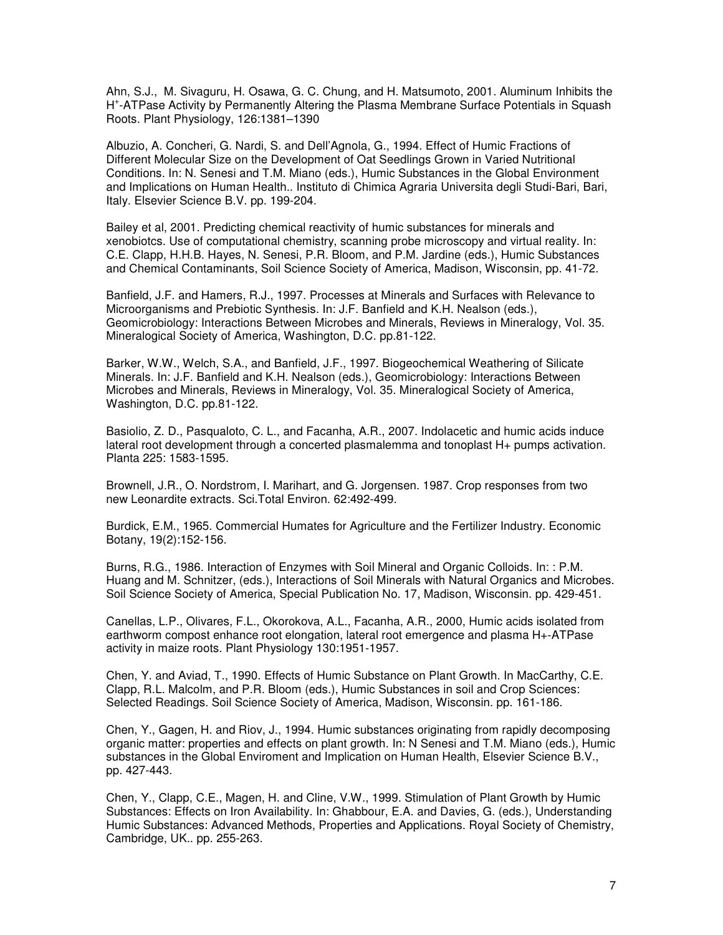Ahn, S.J., M. Sivaguru, H. Osawa, G. C. Chung, and H. Matsumoto, 2001. Aluminum Inhibits the H + -ATPase Activity by Permanently Altering the Plasma Membrane Surface Potentials in Squash Roots. Plant Physiology, 126:1381–1390

Albuzio, A. Concheri, G. Nardi, S. and Dell'Agnola, G., 1994. Effect of Humic Fractions of Different Molecular Size on the Development of Oat Seedlings Grown in Varied Nutritional Conditions. In: N. Senesi and T.M. Miano (eds.), Humic Substances in the Global Environment and Implications on Human Health.. Instituto di Chimica Agraria Universita degli Studi-Bari, Bari, Italy. Elsevier Science B.V. pp. 199-204.

Bailey et al, 2001. Predicting chemical reactivity of humic substances for minerals and xenobiotcs. Use of computational chemistry, scanning probe microscopy and virtual reality. In: C.E. Clapp, H.H.B. Hayes, N. Senesi, P.R. Bloom, and P.M. Jardine (eds.), Humic Substances and Chemical Contaminants, Soil Science Society of America, Madison, Wisconsin, pp. 41-72.

Banfield, J.F. and Hamers, R.J., 1997. Processes at Minerals and Surfaces with Relevance to Microorganisms and Prebiotic Synthesis. In: J.F. Banfield and K.H. Nealson (eds.), Geomicrobiology: Interactions Between Microbes and Minerals, Reviews in Mineralogy, Vol. 35. Mineralogical Society of America, Washington, D.C. pp.81-122.

Barker, W.W., Welch, S.A., and Banfield, J.F., 1997. Biogeochemical Weathering of Silicate Minerals. In: J.F. Banfield and K.H. Nealson (eds.), Geomicrobiology: Interactions Between Microbes and Minerals, Reviews in Mineralogy, Vol. 35. Mineralogical Society of America, Washington, D.C. pp.81-122.

Basiolio, Z. D., Pasqualoto, C. L., and Facanha, A.R., 2007. Indolacetic and humic acids induce lateral root development through a concerted plasmalemma and tonoplast H+ pumps activation. Planta 225: 1583-1595.

Brownell, J.R., O. Nordstrom, I. Marihart, and G. Jorgensen. 1987. Crop responses from two new Leonardite extracts. Sci.Total Environ. 62:492-499.

Burdick, E.M., 1965. Commercial Humates for Agriculture and the Fertilizer Industry. Economic Botany, 19(2):152-156.

Burns, R.G., 1986. Interaction of Enzymes with Soil Mineral and Organic Colloids. In: : P.M. Huang and M. Schnitzer, (eds.), Interactions of Soil Minerals with Natural Organics and Microbes. Soil Science Society of America, Special Publication No. 17, Madison, Wisconsin. pp. 429-451.

Canellas, L.P., Olivares, F.L., Okorokova, A.L., Facanha, A.R., 2000, Humic acids isolated from earthworm compost enhance root elongation, lateral root emergence and plasma H+-ATPase activity in maize roots. Plant Physiology 130:1951-1957.

Chen, Y. and Aviad, T., 1990. Effects of Humic Substance on Plant Growth. In MacCarthy, C.E. Clapp, R.L. Malcolm, and P.R. Bloom (eds.), Humic Substances in soil and Crop Sciences: Selected Readings. Soil Science Society of America, Madison, Wisconsin. pp. 161-186.

Chen, Y., Gagen, H. and Riov, J., 1994. Humic substances originating from rapidly decomposing organic matter: properties and effects on plant growth. In: N Senesi and T.M. Miano (eds.), Humic substances in the Global Enviroment and Implication on Human Health, Elsevier Science B.V., pp. 427-443.

Chen, Y., Clapp, C.E., Magen, H. and Cline, V.W., 1999. Stimulation of Plant Growth by Humic Substances: Effects on Iron Availability. In: Ghabbour, E.A. and Davies, G. (eds.), Understanding Humic Substances: Advanced Methods, Properties and Applications. Royal Society of Chemistry, Cambridge, UK.. pp. 255-263.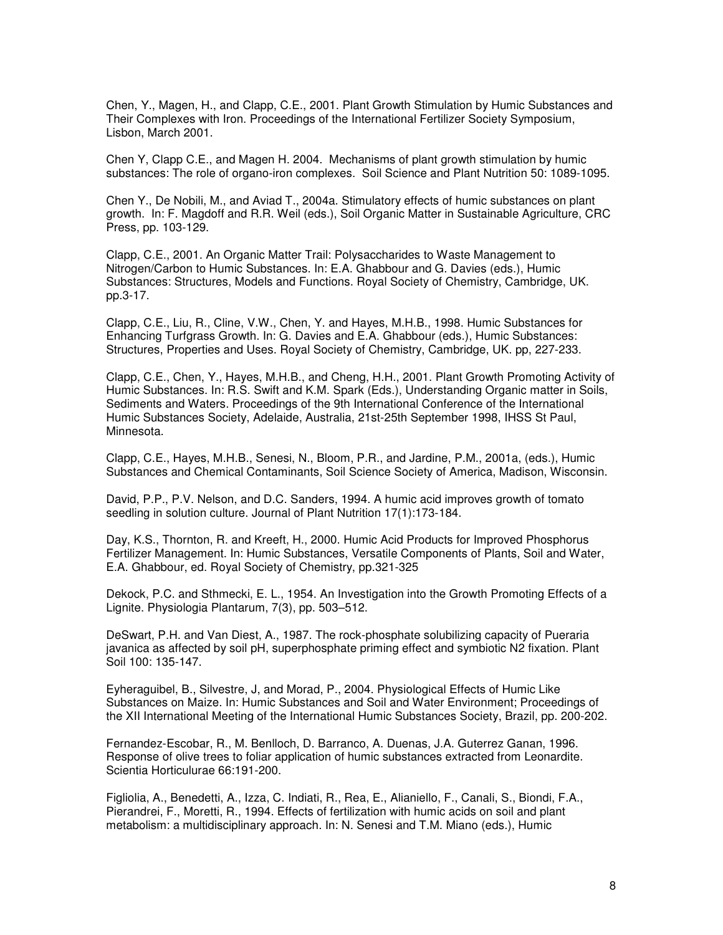Chen, Y., Magen, H., and Clapp, C.E., 2001. Plant Growth Stimulation by Humic Substances and Their Complexes with Iron. Proceedings of the International Fertilizer Society Symposium, Lisbon, March 2001.

Chen Y, Clapp C.E., and Magen H. 2004. Mechanisms of plant growth stimulation by humic substances: The role of organo-iron complexes. Soil Science and Plant Nutrition 50: 1089-1095.

Chen Y., De Nobili, M., and Aviad T., 2004a. Stimulatory effects of humic substances on plant growth. In: F. Magdoff and R.R. Weil (eds.), Soil Organic Matter in Sustainable Agriculture, CRC Press, pp. 103-129.

Clapp, C.E., 2001. An Organic Matter Trail: Polysaccharides to Waste Management to Nitrogen/Carbon to Humic Substances. In: E.A. Ghabbour and G. Davies (eds.), Humic Substances: Structures, Models and Functions. Royal Society of Chemistry, Cambridge, UK. pp.3-17.

Clapp, C.E., Liu, R., Cline, V.W., Chen, Y. and Hayes, M.H.B., 1998. Humic Substances for Enhancing Turfgrass Growth. In: G. Davies and E.A. Ghabbour (eds.), Humic Substances: Structures, Properties and Uses. Royal Society of Chemistry, Cambridge, UK. pp, 227-233.

Clapp, C.E., Chen, Y., Hayes, M.H.B., and Cheng, H.H., 2001. Plant Growth Promoting Activity of Humic Substances. In: R.S. Swift and K.M. Spark (Eds.), Understanding Organic matter in Soils, Sediments and Waters. Proceedings of the 9th International Conference of the International Humic Substances Society, Adelaide, Australia, 21st-25th September 1998, IHSS St Paul, Minnesota.

Clapp, C.E., Hayes, M.H.B., Senesi, N., Bloom, P.R., and Jardine, P.M., 2001a, (eds.), Humic Substances and Chemical Contaminants, Soil Science Society of America, Madison, Wisconsin.

David, P.P., P.V. Nelson, and D.C. Sanders, 1994. A humic acid improves growth of tomato seedling in solution culture. Journal of Plant Nutrition 17(1):173-184.

Day, K.S., Thornton, R. and Kreeft, H., 2000. Humic Acid Products for Improved Phosphorus Fertilizer Management. In: Humic Substances, Versatile Components of Plants, Soil and Water, E.A. Ghabbour, ed. Royal Society of Chemistry, pp.321-325

Dekock, P.C. and Sthmecki, E. L., 1954. An Investigation into the Growth Promoting Effects of a Lignite. Physiologia Plantarum, 7(3), pp. 503–512.

DeSwart, P.H. and Van Diest, A., 1987. The rock-phosphate solubilizing capacity of Pueraria javanica as affected by soil pH, superphosphate priming effect and symbiotic N2 fixation. Plant Soil 100: 135-147.

Eyheraguibel, B., Silvestre, J, and Morad, P., 2004. Physiological Effects of Humic Like Substances on Maize. In: Humic Substances and Soil and Water Environment; Proceedings of the XII International Meeting of the International Humic Substances Society, Brazil, pp. 200-202.

Fernandez-Escobar, R., M. Benlloch, D. Barranco, A. Duenas, J.A. Guterrez Ganan, 1996. Response of olive trees to foliar application of humic substances extracted from Leonardite. Scientia Horticulurae 66:191-200.

Figliolia, A., Benedetti, A., Izza, C. Indiati, R., Rea, E., Alianiello, F., Canali, S., Biondi, F.A., Pierandrei, F., Moretti, R., 1994. Effects of fertilization with humic acids on soil and plant metabolism: a multidisciplinary approach. In: N. Senesi and T.M. Miano (eds.), Humic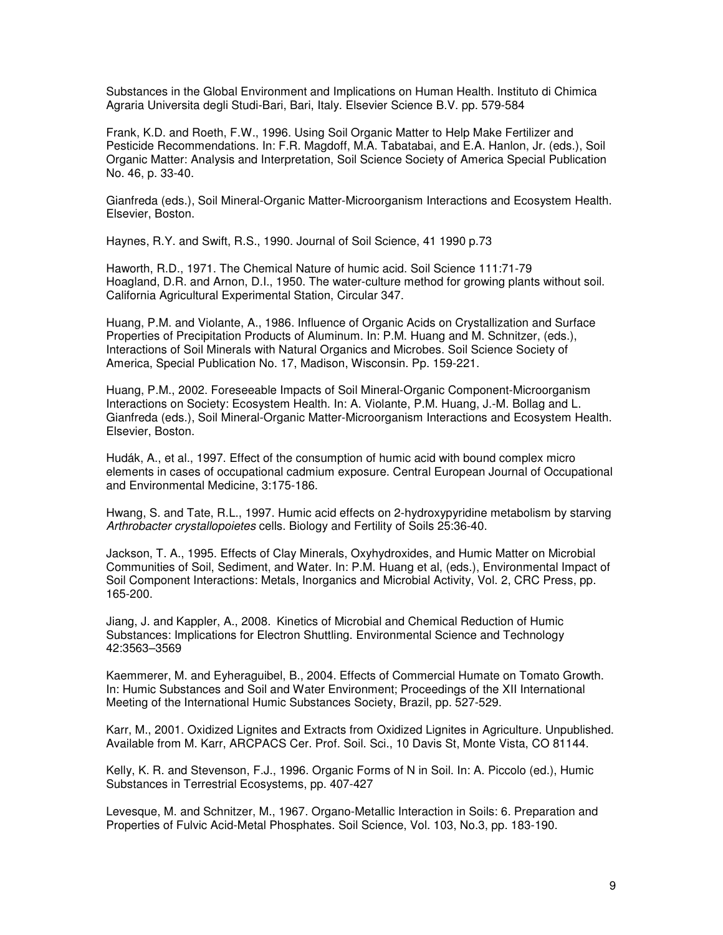Substances in the Global Environment and Implications on Human Health. Instituto di Chimica Agraria Universita degli Studi-Bari, Bari, Italy. Elsevier Science B.V. pp. 579-584

Frank, K.D. and Roeth, F.W., 1996. Using Soil Organic Matter to Help Make Fertilizer and Pesticide Recommendations. In: F.R. Magdoff, M.A. Tabatabai, and E.A. Hanlon, Jr. (eds.), Soil Organic Matter: Analysis and Interpretation, Soil Science Society of America Special Publication No. 46, p. 33-40.

Gianfreda (eds.), Soil Mineral-Organic Matter-Microorganism Interactions and Ecosystem Health. Elsevier, Boston.

Haynes, R.Y. and Swift, R.S., 1990. Journal of Soil Science, 41 1990 p.73

Haworth, R.D., 1971. The Chemical Nature of humic acid. Soil Science 111:71-79 Hoagland, D.R. and Arnon, D.I., 1950. The water-culture method for growing plants without soil. California Agricultural Experimental Station, Circular 347.

Huang, P.M. and Violante, A., 1986. Influence of Organic Acids on Crystallization and Surface Properties of Precipitation Products of Aluminum. In: P.M. Huang and M. Schnitzer, (eds.), Interactions of Soil Minerals with Natural Organics and Microbes. Soil Science Society of America, Special Publication No. 17, Madison, Wisconsin. Pp. 159-221.

Huang, P.M., 2002. Foreseeable Impacts of Soil Mineral-Organic Component-Microorganism Interactions on Society: Ecosystem Health. In: A. Violante, P.M. Huang, J.-M. Bollag and L. Gianfreda (eds.), Soil Mineral-Organic Matter-Microorganism Interactions and Ecosystem Health. Elsevier, Boston.

Hudák, A., et al., 1997. Effect of the consumption of humic acid with bound complex micro elements in cases of occupational cadmium exposure. Central European Journal of Occupational and Environmental Medicine, 3:175-186.

Hwang, S. and Tate, R.L., 1997. Humic acid effects on 2-hydroxypyridine metabolism by starving Arthrobacter crystallopoietes cells. Biology and Fertility of Soils 25:36-40.

Jackson, T. A., 1995. Effects of Clay Minerals, Oxyhydroxides, and Humic Matter on Microbial Communities of Soil, Sediment, and Water. In: P.M. Huang et al, (eds.), Environmental Impact of Soil Component Interactions: Metals, Inorganics and Microbial Activity, Vol. 2, CRC Press, pp. 165-200.

Jiang, J. and Kappler, A., 2008. Kinetics of Microbial and Chemical Reduction of Humic Substances: Implications for Electron Shuttling. Environmental Science and Technology 42:3563–3569

Kaemmerer, M. and Eyheraguibel, B., 2004. Effects of Commercial Humate on Tomato Growth. In: Humic Substances and Soil and Water Environment; Proceedings of the XII International Meeting of the International Humic Substances Society, Brazil, pp. 527-529.

Karr, M., 2001. Oxidized Lignites and Extracts from Oxidized Lignites in Agriculture. Unpublished. Available from M. Karr, ARCPACS Cer. Prof. Soil. Sci., 10 Davis St, Monte Vista, CO 81144.

Kelly, K. R. and Stevenson, F.J., 1996. Organic Forms of N in Soil. In: A. Piccolo (ed.), Humic Substances in Terrestrial Ecosystems, pp. 407-427

Levesque, M. and Schnitzer, M., 1967. Organo-Metallic Interaction in Soils: 6. Preparation and Properties of Fulvic Acid-Metal Phosphates. Soil Science, Vol. 103, No.3, pp. 183-190.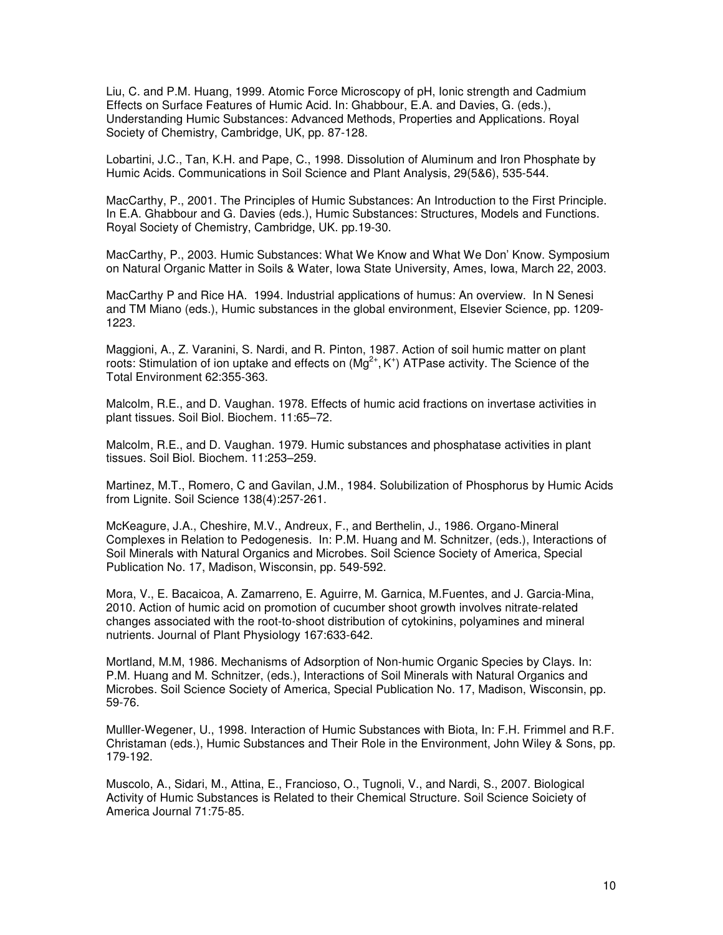Liu, C. and P.M. Huang, 1999. Atomic Force Microscopy of pH, Ionic strength and Cadmium Effects on Surface Features of Humic Acid. In: Ghabbour, E.A. and Davies, G. (eds.), Understanding Humic Substances: Advanced Methods, Properties and Applications. Royal Society of Chemistry, Cambridge, UK, pp. 87-128.

Lobartini, J.C., Tan, K.H. and Pape, C., 1998. Dissolution of Aluminum and Iron Phosphate by Humic Acids. Communications in Soil Science and Plant Analysis, 29(5&6), 535-544.

MacCarthy, P., 2001. The Principles of Humic Substances: An Introduction to the First Principle. In E.A. Ghabbour and G. Davies (eds.), Humic Substances: Structures, Models and Functions. Royal Society of Chemistry, Cambridge, UK. pp.19-30.

MacCarthy, P., 2003. Humic Substances: What We Know and What We Don' Know. Symposium on Natural Organic Matter in Soils & Water, Iowa State University, Ames, Iowa, March 22, 2003.

MacCarthy P and Rice HA. 1994. Industrial applications of humus: An overview. In N Senesi and TM Miano (eds.), Humic substances in the global environment, Elsevier Science, pp. 1209- 1223.

Maggioni, A., Z. Varanini, S. Nardi, and R. Pinton, 1987. Action of soil humic matter on plant roots: Stimulation of ion uptake and effects on (Mg<sup>2+</sup>, K<sup>+</sup>) ATPase activity. The Science of the Total Environment 62:355-363.

Malcolm, R.E., and D. Vaughan. 1978. Effects of humic acid fractions on invertase activities in plant tissues. Soil Biol. Biochem. 11:65–72.

Malcolm, R.E., and D. Vaughan. 1979. Humic substances and phosphatase activities in plant tissues. Soil Biol. Biochem. 11:253–259.

Martinez, M.T., Romero, C and Gavilan, J.M., 1984. Solubilization of Phosphorus by Humic Acids from Lignite. Soil Science 138(4):257-261.

McKeagure, J.A., Cheshire, M.V., Andreux, F., and Berthelin, J., 1986. Organo-Mineral Complexes in Relation to Pedogenesis. In: P.M. Huang and M. Schnitzer, (eds.), Interactions of Soil Minerals with Natural Organics and Microbes. Soil Science Society of America, Special Publication No. 17, Madison, Wisconsin, pp. 549-592.

Mora, V., E. Bacaicoa, A. Zamarreno, E. Aguirre, M. Garnica, M.Fuentes, and J. Garcia-Mina, 2010. Action of humic acid on promotion of cucumber shoot growth involves nitrate-related changes associated with the root-to-shoot distribution of cytokinins, polyamines and mineral nutrients. Journal of Plant Physiology 167:633-642.

Mortland, M.M, 1986. Mechanisms of Adsorption of Non-humic Organic Species by Clays. In: P.M. Huang and M. Schnitzer, (eds.), Interactions of Soil Minerals with Natural Organics and Microbes. Soil Science Society of America, Special Publication No. 17, Madison, Wisconsin, pp. 59-76.

Mulller-Wegener, U., 1998. Interaction of Humic Substances with Biota, In: F.H. Frimmel and R.F. Christaman (eds.), Humic Substances and Their Role in the Environment, John Wiley & Sons, pp. 179-192.

Muscolo, A., Sidari, M., Attina, E., Francioso, O., Tugnoli, V., and Nardi, S., 2007. Biological Activity of Humic Substances is Related to their Chemical Structure. Soil Science Soiciety of America Journal 71:75-85.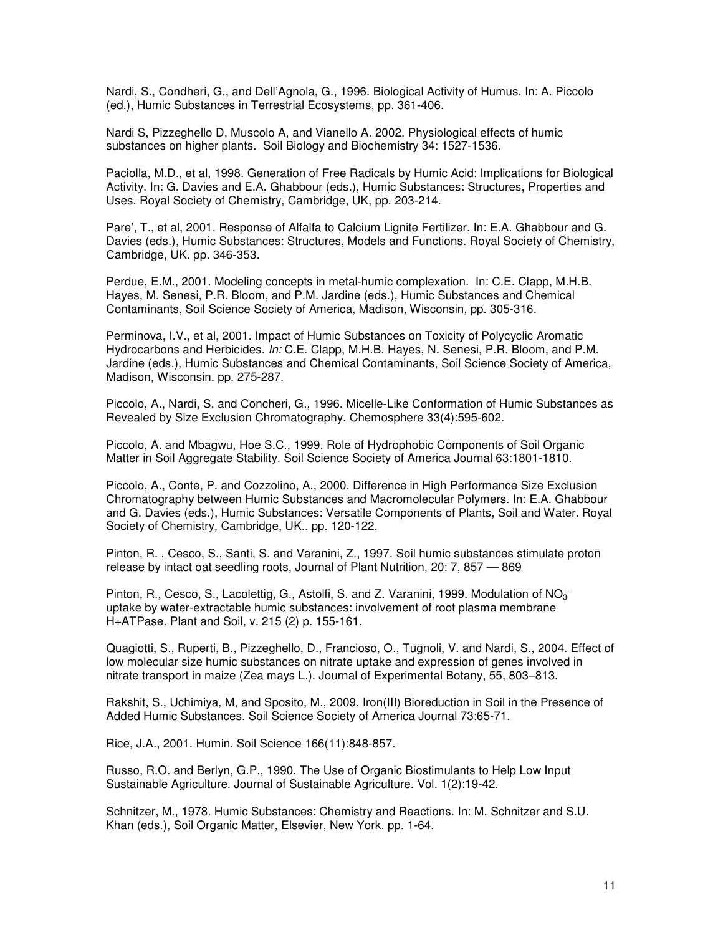Nardi, S., Condheri, G., and Dell'Agnola, G., 1996. Biological Activity of Humus. In: A. Piccolo (ed.), Humic Substances in Terrestrial Ecosystems, pp. 361-406.

Nardi S, Pizzeghello D, Muscolo A, and Vianello A. 2002. Physiological effects of humic substances on higher plants. Soil Biology and Biochemistry 34: 1527-1536.

Paciolla, M.D., et al, 1998. Generation of Free Radicals by Humic Acid: Implications for Biological Activity. In: G. Davies and E.A. Ghabbour (eds.), Humic Substances: Structures, Properties and Uses. Royal Society of Chemistry, Cambridge, UK, pp. 203-214.

Pare', T., et al, 2001. Response of Alfalfa to Calcium Lignite Fertilizer. In: E.A. Ghabbour and G. Davies (eds.), Humic Substances: Structures, Models and Functions. Royal Society of Chemistry, Cambridge, UK. pp. 346-353.

Perdue, E.M., 2001. Modeling concepts in metal-humic complexation. In: C.E. Clapp, M.H.B. Hayes, M. Senesi, P.R. Bloom, and P.M. Jardine (eds.), Humic Substances and Chemical Contaminants, Soil Science Society of America, Madison, Wisconsin, pp. 305-316.

Perminova, I.V., et al, 2001. Impact of Humic Substances on Toxicity of Polycyclic Aromatic Hydrocarbons and Herbicides. In: C.E. Clapp, M.H.B. Hayes, N. Senesi, P.R. Bloom, and P.M. Jardine (eds.), Humic Substances and Chemical Contaminants, Soil Science Society of America, Madison, Wisconsin. pp. 275-287.

Piccolo, A., Nardi, S. and Concheri, G., 1996. Micelle-Like Conformation of Humic Substances as Revealed by Size Exclusion Chromatography. Chemosphere 33(4):595-602.

Piccolo, A. and Mbagwu, Hoe S.C., 1999. Role of Hydrophobic Components of Soil Organic Matter in Soil Aggregate Stability. Soil Science Society of America Journal 63:1801-1810.

Piccolo, A., Conte, P. and Cozzolino, A., 2000. Difference in High Performance Size Exclusion Chromatography between Humic Substances and Macromolecular Polymers. In: E.A. Ghabbour and G. Davies (eds.), Humic Substances: Versatile Components of Plants, Soil and Water. Royal Society of Chemistry, Cambridge, UK.. pp. 120-122.

Pinton, R. , Cesco, S., Santi, S. and Varanini, Z., 1997. Soil humic substances stimulate proton release by intact oat seedling roots, Journal of Plant Nutrition, 20: 7, 857 — 869

Pinton, R., Cesco, S., Lacolettig, G., Astolfi, S. and Z. Varanini, 1999. Modulation of  $NO<sub>3</sub>$ uptake by water-extractable humic substances: involvement of root plasma membrane H+ATPase. Plant and Soil, v. 215 (2) p. 155-161.

Quagiotti, S., Ruperti, B., Pizzeghello, D., Francioso, O., Tugnoli, V. and Nardi, S., 2004. Effect of low molecular size humic substances on nitrate uptake and expression of genes involved in nitrate transport in maize (Zea mays L.). Journal of Experimental Botany, 55, 803–813.

Rakshit, S., Uchimiya, M, and Sposito, M., 2009. Iron(III) Bioreduction in Soil in the Presence of Added Humic Substances. Soil Science Society of America Journal 73:65-71.

Rice, J.A., 2001. Humin. Soil Science 166(11):848-857.

Russo, R.O. and Berlyn, G.P., 1990. The Use of Organic Biostimulants to Help Low Input Sustainable Agriculture. Journal of Sustainable Agriculture. Vol. 1(2):19-42.

Schnitzer, M., 1978. Humic Substances: Chemistry and Reactions. In: M. Schnitzer and S.U. Khan (eds.), Soil Organic Matter, Elsevier, New York. pp. 1-64.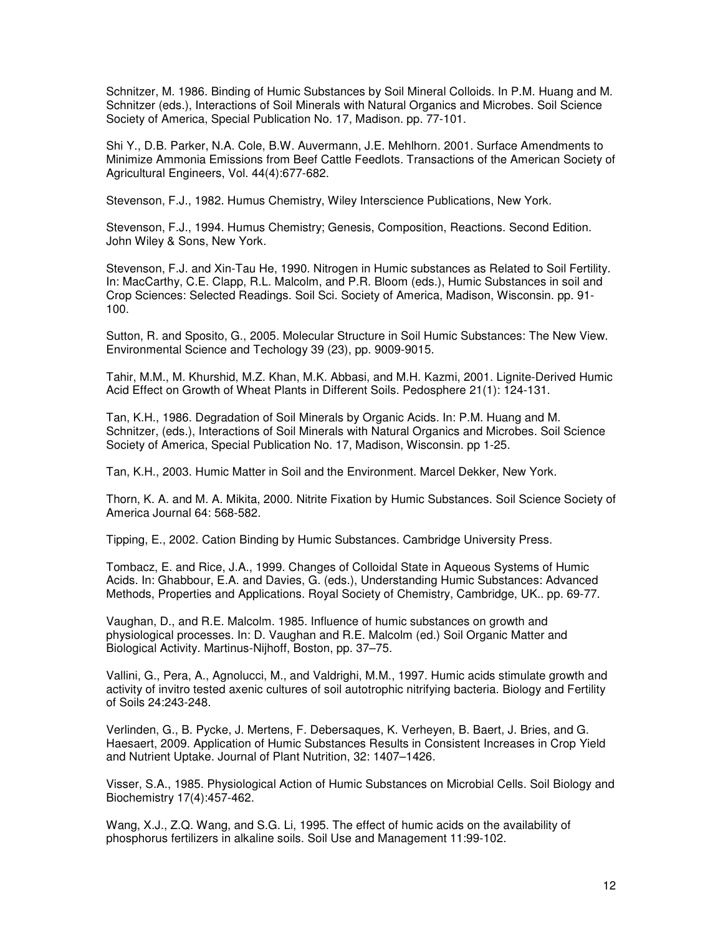Schnitzer, M. 1986. Binding of Humic Substances by Soil Mineral Colloids. In P.M. Huang and M. Schnitzer (eds.), Interactions of Soil Minerals with Natural Organics and Microbes. Soil Science Society of America, Special Publication No. 17, Madison. pp. 77-101.

Shi Y., D.B. Parker, N.A. Cole, B.W. Auvermann, J.E. Mehlhorn. 2001. Surface Amendments to Minimize Ammonia Emissions from Beef Cattle Feedlots. Transactions of the American Society of Agricultural Engineers, Vol. 44(4):677-682.

Stevenson, F.J., 1982. Humus Chemistry, Wiley Interscience Publications, New York.

Stevenson, F.J., 1994. Humus Chemistry; Genesis, Composition, Reactions. Second Edition. John Wiley & Sons, New York.

Stevenson, F.J. and Xin-Tau He, 1990. Nitrogen in Humic substances as Related to Soil Fertility. In: MacCarthy, C.E. Clapp, R.L. Malcolm, and P.R. Bloom (eds.), Humic Substances in soil and Crop Sciences: Selected Readings. Soil Sci. Society of America, Madison, Wisconsin. pp. 91- 100.

Sutton, R. and Sposito, G., 2005. Molecular Structure in Soil Humic Substances: The New View. Environmental Science and Techology 39 (23), pp. 9009-9015.

Tahir, M.M., M. Khurshid, M.Z. Khan, M.K. Abbasi, and M.H. Kazmi, 2001. Lignite-Derived Humic Acid Effect on Growth of Wheat Plants in Different Soils. Pedosphere 21(1): 124-131.

Tan, K.H., 1986. Degradation of Soil Minerals by Organic Acids. In: P.M. Huang and M. Schnitzer, (eds.), Interactions of Soil Minerals with Natural Organics and Microbes. Soil Science Society of America, Special Publication No. 17, Madison, Wisconsin. pp 1-25.

Tan, K.H., 2003. Humic Matter in Soil and the Environment. Marcel Dekker, New York.

Thorn, K. A. and M. A. Mikita, 2000. Nitrite Fixation by Humic Substances. Soil Science Society of America Journal 64: 568-582.

Tipping, E., 2002. Cation Binding by Humic Substances. Cambridge University Press.

Tombacz, E. and Rice, J.A., 1999. Changes of Colloidal State in Aqueous Systems of Humic Acids. In: Ghabbour, E.A. and Davies, G. (eds.), Understanding Humic Substances: Advanced Methods, Properties and Applications. Royal Society of Chemistry, Cambridge, UK.. pp. 69-77.

Vaughan, D., and R.E. Malcolm. 1985. Influence of humic substances on growth and physiological processes. In: D. Vaughan and R.E. Malcolm (ed.) Soil Organic Matter and Biological Activity. Martinus-Nijhoff, Boston, pp. 37–75.

Vallini, G., Pera, A., Agnolucci, M., and Valdrighi, M.M., 1997. Humic acids stimulate growth and activity of invitro tested axenic cultures of soil autotrophic nitrifying bacteria. Biology and Fertility of Soils 24:243-248.

Verlinden, G., B. Pycke, J. Mertens, F. Debersaques, K. Verheyen, B. Baert, J. Bries, and G. Haesaert, 2009. Application of Humic Substances Results in Consistent Increases in Crop Yield and Nutrient Uptake. Journal of Plant Nutrition, 32: 1407–1426.

Visser, S.A., 1985. Physiological Action of Humic Substances on Microbial Cells. Soil Biology and Biochemistry 17(4):457-462.

Wang, X.J., Z.Q. Wang, and S.G. Li, 1995. The effect of humic acids on the availability of phosphorus fertilizers in alkaline soils. Soil Use and Management 11:99-102.